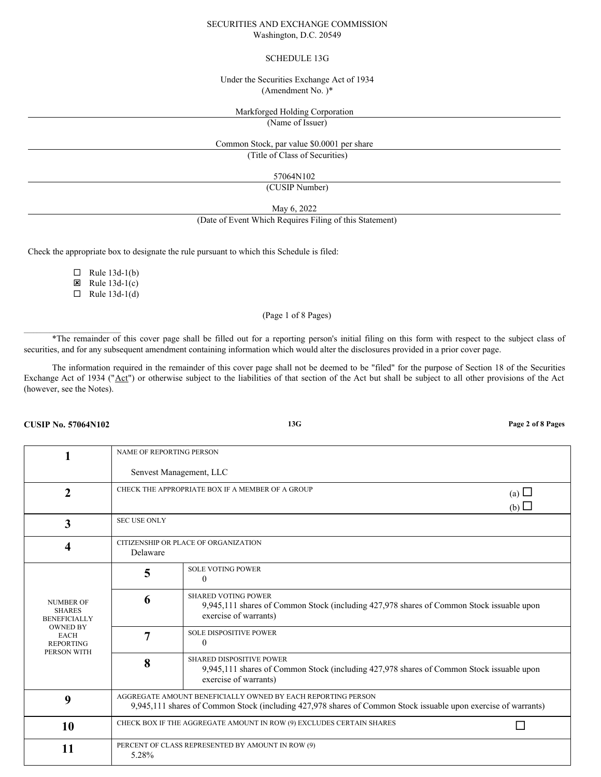# SECURITIES AND EXCHANGE COMMISSION Washington, D.C. 20549

# SCHEDULE 13G

# Under the Securities Exchange Act of 1934 (Amendment No. )\*

# Markforged Holding Corporation

(Name of Issuer)

# Common Stock, par value \$0.0001 per share

(Title of Class of Securities)

57064N102

(CUSIP Number)

May 6, 2022

#### (Date of Event Which Requires Filing of this Statement)

Check the appropriate box to designate the rule pursuant to which this Schedule is filed:

 $\Box$  Rule 13d-1(b)  $\boxtimes$  Rule 13d-1(c)

 $\Box$  Rule 13d-1(d)

# (Page 1 of 8 Pages)

\*The remainder of this cover page shall be filled out for a reporting person's initial filing on this form with respect to the subject class of securities, and for any subsequent amendment containing information which would alter the disclosures provided in a prior cover page.

The information required in the remainder of this cover page shall not be deemed to be "filed" for the purpose of Section 18 of the Securities Exchange Act of 1934 ("Act") or otherwise subject to the liabilities of that section of the Act but shall be subject to all other provisions of the Act (however, see the Notes).

### **CUSIP No. 57064N102 13G Page 2 of 8 Pages**

 $\mathcal{L}_\text{max}$ 

|                                                                                                                               | NAME OF REPORTING PERSON                                                                                                                                                       |                                                                                                                                                 |  |
|-------------------------------------------------------------------------------------------------------------------------------|--------------------------------------------------------------------------------------------------------------------------------------------------------------------------------|-------------------------------------------------------------------------------------------------------------------------------------------------|--|
|                                                                                                                               | Senvest Management, LLC                                                                                                                                                        |                                                                                                                                                 |  |
| $\mathbf{2}$                                                                                                                  | CHECK THE APPROPRIATE BOX IF A MEMBER OF A GROUP<br>(a) $\Box$<br>(b)                                                                                                          |                                                                                                                                                 |  |
| 3                                                                                                                             | <b>SEC USE ONLY</b>                                                                                                                                                            |                                                                                                                                                 |  |
| $\overline{\mathbf{4}}$                                                                                                       | CITIZENSHIP OR PLACE OF ORGANIZATION<br>Delaware                                                                                                                               |                                                                                                                                                 |  |
|                                                                                                                               | 5                                                                                                                                                                              | <b>SOLE VOTING POWER</b><br>$\Omega$                                                                                                            |  |
| <b>NUMBER OF</b><br><b>SHARES</b><br><b>BENEFICIALLY</b><br><b>OWNED BY</b><br><b>EACH</b><br><b>REPORTING</b><br>PERSON WITH | 6                                                                                                                                                                              | <b>SHARED VOTING POWER</b><br>9,945,111 shares of Common Stock (including 427,978 shares of Common Stock issuable upon<br>exercise of warrants) |  |
|                                                                                                                               | 7                                                                                                                                                                              | <b>SOLE DISPOSITIVE POWER</b><br>$\Omega$                                                                                                       |  |
|                                                                                                                               | 8                                                                                                                                                                              | SHARED DISPOSITIVE POWER<br>9,945,111 shares of Common Stock (including 427,978 shares of Common Stock issuable upon<br>exercise of warrants)   |  |
| 9                                                                                                                             | AGGREGATE AMOUNT BENEFICIALLY OWNED BY EACH REPORTING PERSON<br>9,945,111 shares of Common Stock (including 427,978 shares of Common Stock issuable upon exercise of warrants) |                                                                                                                                                 |  |
| 10                                                                                                                            | CHECK BOX IF THE AGGREGATE AMOUNT IN ROW (9) EXCLUDES CERTAIN SHARES                                                                                                           |                                                                                                                                                 |  |
| 11                                                                                                                            | PERCENT OF CLASS REPRESENTED BY AMOUNT IN ROW (9)<br>5.28%                                                                                                                     |                                                                                                                                                 |  |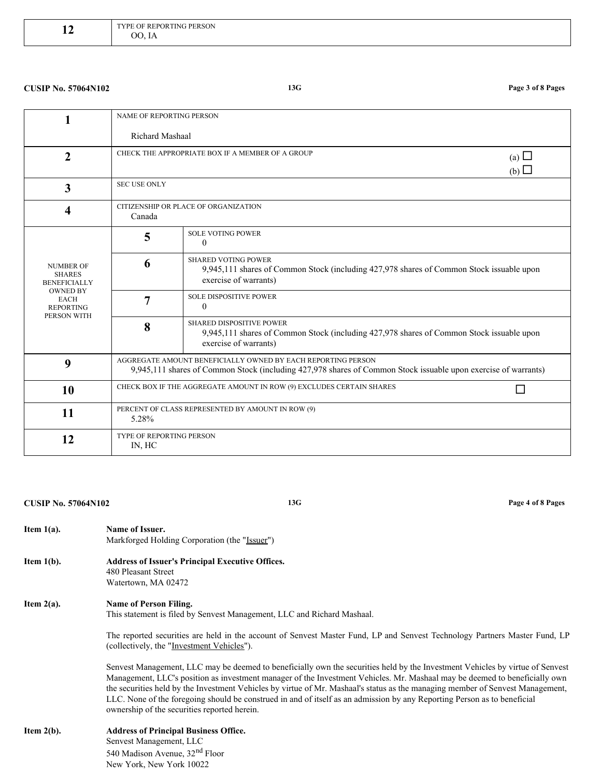| $r(\mathsf{R}^{\mathrm{TT}})$<br><b>TING PERSON</b><br>TVDE<br>6 H I<br>' H PI<br>---- <i>------------------</i><br>റ $\epsilon$<br>$\ddot{\phantom{0}}$ |
|----------------------------------------------------------------------------------------------------------------------------------------------------------|
|                                                                                                                                                          |
|                                                                                                                                                          |

# **CUSIP No. 57064N102 13G Page 3 of 8 Pages**

|                                                                                                                               | <b>NAME OF REPORTING PERSON</b>                                                                                                                                                |                                                                                                                                                 |  |
|-------------------------------------------------------------------------------------------------------------------------------|--------------------------------------------------------------------------------------------------------------------------------------------------------------------------------|-------------------------------------------------------------------------------------------------------------------------------------------------|--|
|                                                                                                                               | Richard Mashaal                                                                                                                                                                |                                                                                                                                                 |  |
| $\overline{2}$                                                                                                                | CHECK THE APPROPRIATE BOX IF A MEMBER OF A GROUP<br>(a) $\Box$<br>(b)                                                                                                          |                                                                                                                                                 |  |
| 3                                                                                                                             | <b>SEC USE ONLY</b>                                                                                                                                                            |                                                                                                                                                 |  |
| 4                                                                                                                             | CITIZENSHIP OR PLACE OF ORGANIZATION<br>Canada                                                                                                                                 |                                                                                                                                                 |  |
| <b>NUMBER OF</b><br><b>SHARES</b><br><b>BENEFICIALLY</b><br><b>OWNED BY</b><br><b>EACH</b><br><b>REPORTING</b><br>PERSON WITH | 5                                                                                                                                                                              | <b>SOLE VOTING POWER</b><br>$\theta$                                                                                                            |  |
|                                                                                                                               | 6                                                                                                                                                                              | <b>SHARED VOTING POWER</b><br>9,945,111 shares of Common Stock (including 427,978 shares of Common Stock issuable upon<br>exercise of warrants) |  |
|                                                                                                                               | 7                                                                                                                                                                              | <b>SOLE DISPOSITIVE POWER</b><br>$\theta$                                                                                                       |  |
|                                                                                                                               | 8                                                                                                                                                                              | SHARED DISPOSITIVE POWER<br>9,945,111 shares of Common Stock (including 427,978 shares of Common Stock issuable upon<br>exercise of warrants)   |  |
| 9                                                                                                                             | AGGREGATE AMOUNT BENEFICIALLY OWNED BY EACH REPORTING PERSON<br>9,945,111 shares of Common Stock (including 427,978 shares of Common Stock issuable upon exercise of warrants) |                                                                                                                                                 |  |
| 10                                                                                                                            | CHECK BOX IF THE AGGREGATE AMOUNT IN ROW (9) EXCLUDES CERTAIN SHARES                                                                                                           |                                                                                                                                                 |  |
| 11                                                                                                                            | PERCENT OF CLASS REPRESENTED BY AMOUNT IN ROW (9)<br>5.28%                                                                                                                     |                                                                                                                                                 |  |
| 12                                                                                                                            | TYPE OF REPORTING PERSON<br>IN, HC                                                                                                                                             |                                                                                                                                                 |  |

# **CUSIP No. 57064N102 13G Page 4 of 8 Pages**

| Item $1(a)$ . | Name of Issuer.<br>Markforged Holding Corporation (the "Issuer")                                                                                                                                                                                                                                                                                                                                                                                                                                                                                                          |
|---------------|---------------------------------------------------------------------------------------------------------------------------------------------------------------------------------------------------------------------------------------------------------------------------------------------------------------------------------------------------------------------------------------------------------------------------------------------------------------------------------------------------------------------------------------------------------------------------|
| Item 1(b).    | <b>Address of Issuer's Principal Executive Offices.</b><br>480 Pleasant Street<br>Watertown, MA 02472                                                                                                                                                                                                                                                                                                                                                                                                                                                                     |
| Item $2(a)$ . | <b>Name of Person Filing.</b><br>This statement is filed by Senvest Management, LLC and Richard Mashaal.                                                                                                                                                                                                                                                                                                                                                                                                                                                                  |
|               | The reported securities are held in the account of Senvest Master Fund, LP and Senvest Technology Partners Master Fund, LP<br>(collectively, the "Investment Vehicles").                                                                                                                                                                                                                                                                                                                                                                                                  |
|               | Senvest Management, LLC may be deemed to beneficially own the securities held by the Investment Vehicles by virtue of Senvest<br>Management, LLC's position as investment manager of the Investment Vehicles. Mr. Mashaal may be deemed to beneficially own<br>the securities held by the Investment Vehicles by virtue of Mr. Mashaal's status as the managing member of Senvest Management,<br>LLC. None of the foregoing should be construed in and of itself as an admission by any Reporting Person as to beneficial<br>ownership of the securities reported herein. |
| Item $2(b)$ . | <b>Address of Principal Business Office.</b><br>Senvest Management, LLC<br>540 Madison Avenue, 32 <sup>nd</sup> Floor<br>New York, New York 10022                                                                                                                                                                                                                                                                                                                                                                                                                         |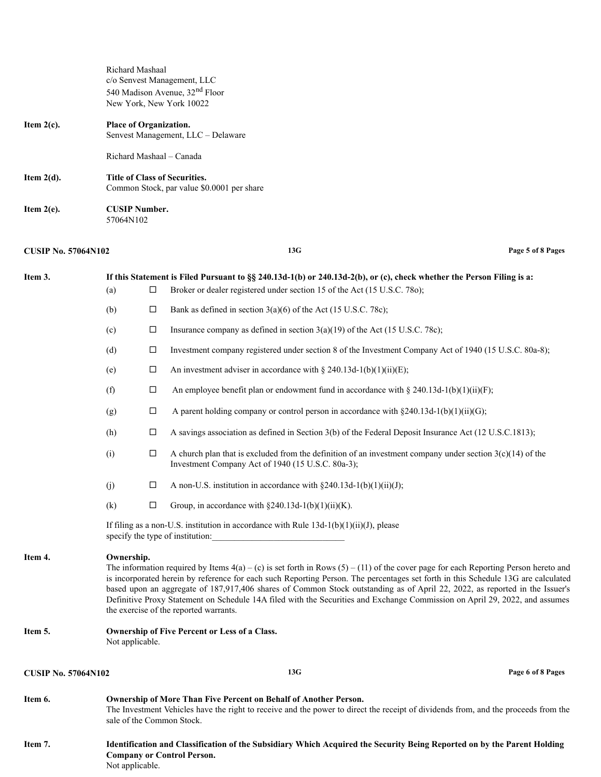Richard Mashaal c/o Senvest Management, LLC 540 Madison Avenue, 32<sup>nd</sup> Floor New York, New York 10022

| Item $2(c)$ . | <b>Place of Organization.</b><br>Senvest Management, LLC – Delaware         |
|---------------|-----------------------------------------------------------------------------|
|               | Richard Mashaal – Canada                                                    |
| Item $2(d)$ . | Title of Class of Securities.<br>Common Stock, par value \$0.0001 per share |
| Item $2(e)$ . | <b>CUSIP Number.</b><br>57064N102                                           |

# **CUSIP No. 57064N102 13G Page 5 of 8 Pages**

| Item 3.                    | (a)                                                                                                                                                                                                                                                                                                                                                                                                                                                                                                                                                                                                | □      | If this Statement is Filed Pursuant to §§ 240.13d-1(b) or 240.13d-2(b), or (c), check whether the Person Filing is a:<br>Broker or dealer registered under section 15 of the Act (15 U.S.C. 780);             |                   |
|----------------------------|----------------------------------------------------------------------------------------------------------------------------------------------------------------------------------------------------------------------------------------------------------------------------------------------------------------------------------------------------------------------------------------------------------------------------------------------------------------------------------------------------------------------------------------------------------------------------------------------------|--------|---------------------------------------------------------------------------------------------------------------------------------------------------------------------------------------------------------------|-------------------|
|                            | (b)                                                                                                                                                                                                                                                                                                                                                                                                                                                                                                                                                                                                | □      | Bank as defined in section $3(a)(6)$ of the Act (15 U.S.C. 78c);                                                                                                                                              |                   |
|                            | (c)                                                                                                                                                                                                                                                                                                                                                                                                                                                                                                                                                                                                | □      | Insurance company as defined in section $3(a)(19)$ of the Act (15 U.S.C. 78c);                                                                                                                                |                   |
|                            | (d)                                                                                                                                                                                                                                                                                                                                                                                                                                                                                                                                                                                                | $\Box$ | Investment company registered under section 8 of the Investment Company Act of 1940 (15 U.S.C. 80a-8);                                                                                                        |                   |
|                            | (e)                                                                                                                                                                                                                                                                                                                                                                                                                                                                                                                                                                                                | □      | An investment adviser in accordance with § 240.13d-1(b)(1)(ii)(E);                                                                                                                                            |                   |
|                            | (f)                                                                                                                                                                                                                                                                                                                                                                                                                                                                                                                                                                                                | $\Box$ | An employee benefit plan or endowment fund in accordance with § 240.13d-1(b)(1)(ii)(F);                                                                                                                       |                   |
|                            | (g)                                                                                                                                                                                                                                                                                                                                                                                                                                                                                                                                                                                                | □      | A parent holding company or control person in accordance with $\S 240.13d-1(b)(1)(ii)(G)$ ;                                                                                                                   |                   |
|                            | (h)                                                                                                                                                                                                                                                                                                                                                                                                                                                                                                                                                                                                | □      | A savings association as defined in Section 3(b) of the Federal Deposit Insurance Act (12 U.S.C.1813);                                                                                                        |                   |
|                            | (i)                                                                                                                                                                                                                                                                                                                                                                                                                                                                                                                                                                                                | □      | A church plan that is excluded from the definition of an investment company under section $3(c)(14)$ of the<br>Investment Company Act of 1940 (15 U.S.C. 80a-3);                                              |                   |
|                            | (j)                                                                                                                                                                                                                                                                                                                                                                                                                                                                                                                                                                                                | □      | A non-U.S. institution in accordance with $\S 240.13d-1(b)(1)(ii)(J)$ ;                                                                                                                                       |                   |
|                            | (k)                                                                                                                                                                                                                                                                                                                                                                                                                                                                                                                                                                                                | □      | Group, in accordance with $\S 240.13d-1(b)(1)(ii)(K)$ .                                                                                                                                                       |                   |
|                            | If filing as a non-U.S. institution in accordance with Rule $13d-1(b)(1)(ii)(J)$ , please<br>specify the type of institution:                                                                                                                                                                                                                                                                                                                                                                                                                                                                      |        |                                                                                                                                                                                                               |                   |
| Item 4.                    | Ownership.<br>The information required by Items $4(a) - (c)$ is set forth in Rows $(5) - (11)$ of the cover page for each Reporting Person hereto and<br>is incorporated herein by reference for each such Reporting Person. The percentages set forth in this Schedule 13G are calculated<br>based upon an aggregate of 187,917,406 shares of Common Stock outstanding as of April 22, 2022, as reported in the Issuer's<br>Definitive Proxy Statement on Schedule 14A filed with the Securities and Exchange Commission on April 29, 2022, and assumes<br>the exercise of the reported warrants. |        |                                                                                                                                                                                                               |                   |
| Item 5.                    | <b>Ownership of Five Percent or Less of a Class.</b><br>Not applicable.                                                                                                                                                                                                                                                                                                                                                                                                                                                                                                                            |        |                                                                                                                                                                                                               |                   |
| <b>CUSIP No. 57064N102</b> |                                                                                                                                                                                                                                                                                                                                                                                                                                                                                                                                                                                                    |        | 13G                                                                                                                                                                                                           | Page 6 of 8 Pages |
| Item 6.                    | sale of the Common Stock.                                                                                                                                                                                                                                                                                                                                                                                                                                                                                                                                                                          |        | <b>Ownership of More Than Five Percent on Behalf of Another Person.</b><br>The Investment Vehicles have the right to receive and the power to direct the receipt of dividends from, and the proceeds from the |                   |
| Item 7.                    | Not applicable.                                                                                                                                                                                                                                                                                                                                                                                                                                                                                                                                                                                    |        | Identification and Classification of the Subsidiary Which Acquired the Security Being Reported on by the Parent Holding<br><b>Company or Control Person.</b>                                                  |                   |